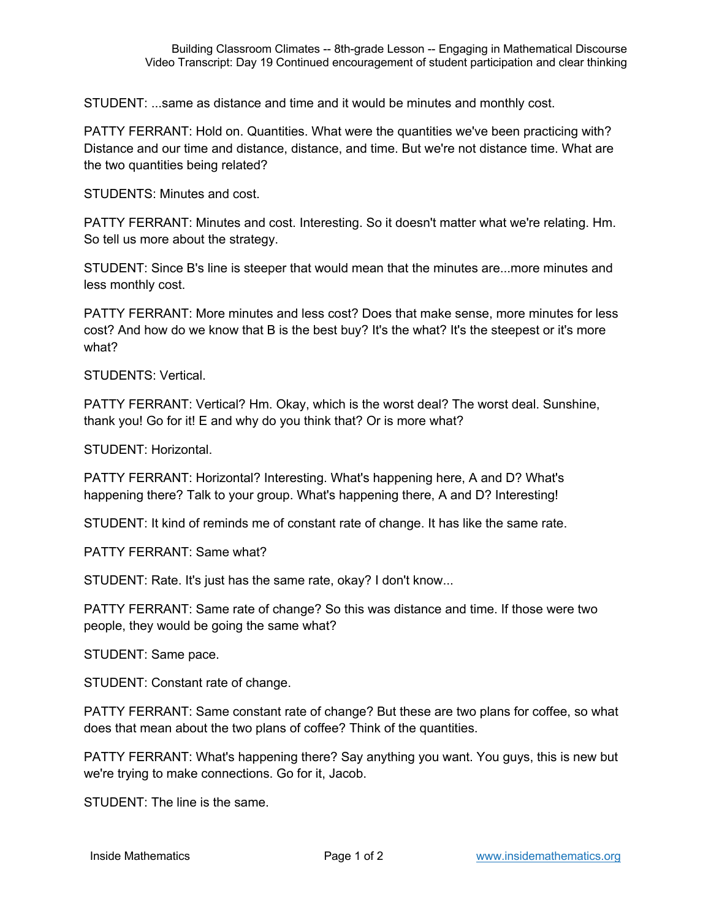STUDENT: ...same as distance and time and it would be minutes and monthly cost.

PATTY FERRANT: Hold on. Quantities. What were the quantities we've been practicing with? Distance and our time and distance, distance, and time. But we're not distance time. What are the two quantities being related?

STUDENTS: Minutes and cost.

PATTY FERRANT: Minutes and cost. Interesting. So it doesn't matter what we're relating. Hm. So tell us more about the strategy.

STUDENT: Since B's line is steeper that would mean that the minutes are...more minutes and less monthly cost.

PATTY FERRANT: More minutes and less cost? Does that make sense, more minutes for less cost? And how do we know that B is the best buy? It's the what? It's the steepest or it's more what?

STUDENTS: Vertical.

PATTY FERRANT: Vertical? Hm. Okay, which is the worst deal? The worst deal. Sunshine, thank you! Go for it! E and why do you think that? Or is more what?

STUDENT: Horizontal.

PATTY FERRANT: Horizontal? Interesting. What's happening here, A and D? What's happening there? Talk to your group. What's happening there, A and D? Interesting!

STUDENT: It kind of reminds me of constant rate of change. It has like the same rate.

PATTY FERRANT: Same what?

STUDENT: Rate. It's just has the same rate, okay? I don't know...

PATTY FERRANT: Same rate of change? So this was distance and time. If those were two people, they would be going the same what?

STUDENT: Same pace.

STUDENT: Constant rate of change.

PATTY FERRANT: Same constant rate of change? But these are two plans for coffee, so what does that mean about the two plans of coffee? Think of the quantities.

PATTY FERRANT: What's happening there? Say anything you want. You guys, this is new but we're trying to make connections. Go for it, Jacob.

STUDENT: The line is the same.